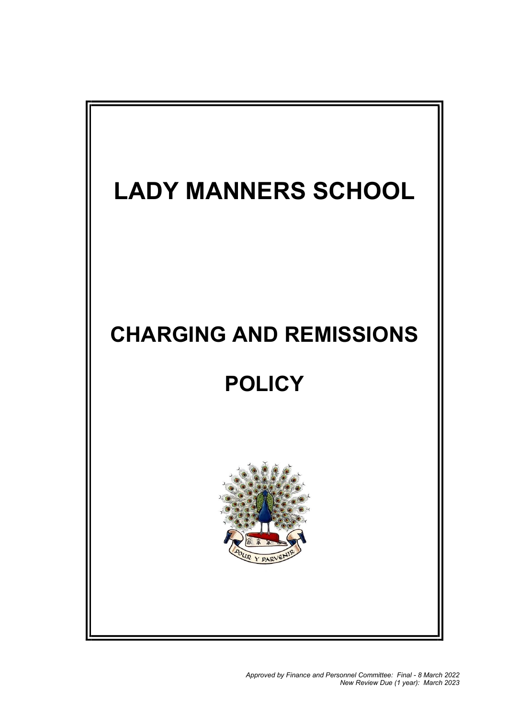# LADY MANNERS SCHOOL

### CHARGING AND REMISSIONS

## **POLICY**



Approved by Finance and Personnel Committee: Final - 8 March 2022 New Review Due (1 year): March 2023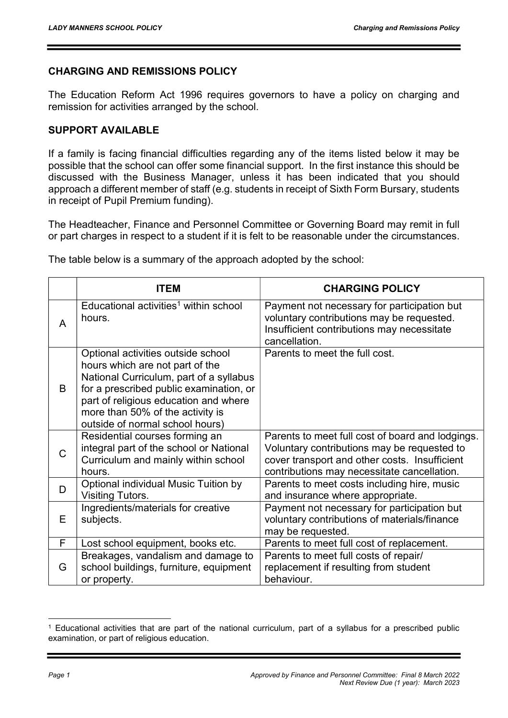### CHARGING AND REMISSIONS POLICY

The Education Reform Act 1996 requires governors to have a policy on charging and remission for activities arranged by the school.

#### SUPPORT AVAILABLE

If a family is facing financial difficulties regarding any of the items listed below it may be possible that the school can offer some financial support. In the first instance this should be discussed with the Business Manager, unless it has been indicated that you should approach a different member of staff (e.g. students in receipt of Sixth Form Bursary, students in receipt of Pupil Premium funding).

The Headteacher, Finance and Personnel Committee or Governing Board may remit in full or part charges in respect to a student if it is felt to be reasonable under the circumstances.

|   | <b>ITEM</b>                                                                                                                                                                                                                                                                 | <b>CHARGING POLICY</b>                                                                                                                                                                          |
|---|-----------------------------------------------------------------------------------------------------------------------------------------------------------------------------------------------------------------------------------------------------------------------------|-------------------------------------------------------------------------------------------------------------------------------------------------------------------------------------------------|
| A | Educational activities <sup>1</sup> within school<br>hours.                                                                                                                                                                                                                 | Payment not necessary for participation but<br>voluntary contributions may be requested.<br>Insufficient contributions may necessitate<br>cancellation.                                         |
| B | Optional activities outside school<br>hours which are not part of the<br>National Curriculum, part of a syllabus<br>for a prescribed public examination, or<br>part of religious education and where<br>more than 50% of the activity is<br>outside of normal school hours) | Parents to meet the full cost.                                                                                                                                                                  |
| C | Residential courses forming an<br>integral part of the school or National<br>Curriculum and mainly within school<br>hours.                                                                                                                                                  | Parents to meet full cost of board and lodgings.<br>Voluntary contributions may be requested to<br>cover transport and other costs. Insufficient<br>contributions may necessitate cancellation. |
| D | Optional individual Music Tuition by<br>Visiting Tutors.                                                                                                                                                                                                                    | Parents to meet costs including hire, music<br>and insurance where appropriate.                                                                                                                 |
| Е | Ingredients/materials for creative<br>subjects.                                                                                                                                                                                                                             | Payment not necessary for participation but<br>voluntary contributions of materials/finance<br>may be requested.                                                                                |
| F | Lost school equipment, books etc.                                                                                                                                                                                                                                           | Parents to meet full cost of replacement.                                                                                                                                                       |
| G | Breakages, vandalism and damage to<br>school buildings, furniture, equipment<br>or property.                                                                                                                                                                                | Parents to meet full costs of repair/<br>replacement if resulting from student<br>behaviour.                                                                                                    |

The table below is a summary of the approach adopted by the school:

-

<sup>1</sup> Educational activities that are part of the national curriculum, part of a syllabus for a prescribed public examination, or part of religious education.